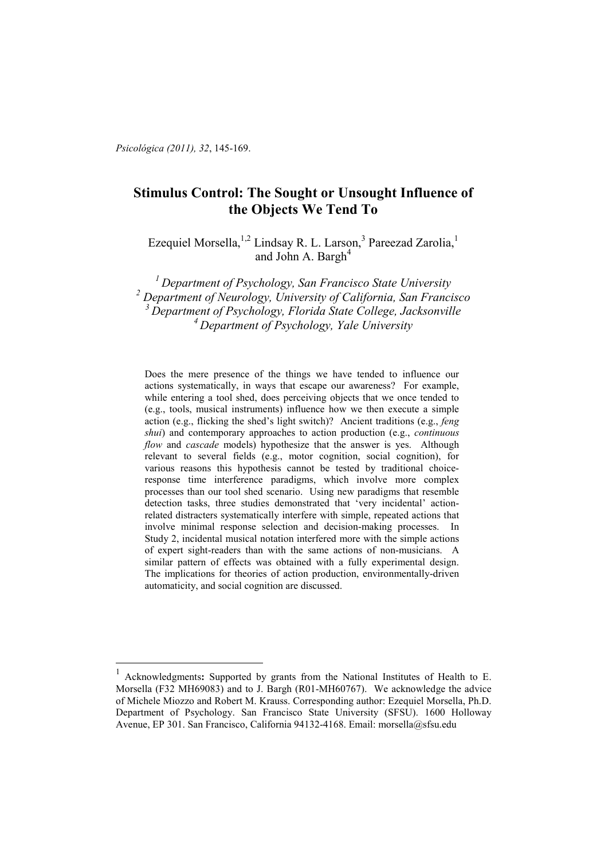*Psicológica (2011), 32*, 145-169.

 $\overline{a}$ 

# **Stimulus Control: The Sought or Unsought Influence of the Objects We Tend To**

Ezequiel Morsella, <sup>1,2</sup> Lindsay R. L. Larson,<sup>3</sup> Pareezad Zarolia,<sup>1</sup> and John A. Bargh<sup>4</sup>

*Department of Psychology, San Francisco State University* <sup>2</sup> Department of Neurology, University of California, San Francisco *Department of Psychology, Florida State College, Jacksonville Department of Psychology, Yale University* 

Does the mere presence of the things we have tended to influence our actions systematically, in ways that escape our awareness? For example, while entering a tool shed, does perceiving objects that we once tended to (e.g., tools, musical instruments) influence how we then execute a simple action (e.g., flicking the shed's light switch)? Ancient traditions (e.g., *feng shui*) and contemporary approaches to action production (e.g., *continuous flow* and *cascade* models) hypothesize that the answer is yes. Although relevant to several fields (e.g., motor cognition, social cognition), for various reasons this hypothesis cannot be tested by traditional choiceresponse time interference paradigms, which involve more complex processes than our tool shed scenario. Using new paradigms that resemble detection tasks, three studies demonstrated that 'very incidental' actionrelated distracters systematically interfere with simple, repeated actions that involve minimal response selection and decision-making processes. In Study 2, incidental musical notation interfered more with the simple actions of expert sight-readers than with the same actions of non-musicians. A similar pattern of effects was obtained with a fully experimental design. The implications for theories of action production, environmentally-driven automaticity, and social cognition are discussed.

<sup>1</sup> Acknowledgments**:** Supported by grants from the National Institutes of Health to E. Morsella (F32 MH69083) and to J. Bargh (R01-MH60767). We acknowledge the advice of Michele Miozzo and Robert M. Krauss. Corresponding author: Ezequiel Morsella, Ph.D. Department of Psychology. San Francisco State University (SFSU). 1600 Holloway Avenue, EP 301. San Francisco, California 94132-4168. Email: morsella@sfsu.edu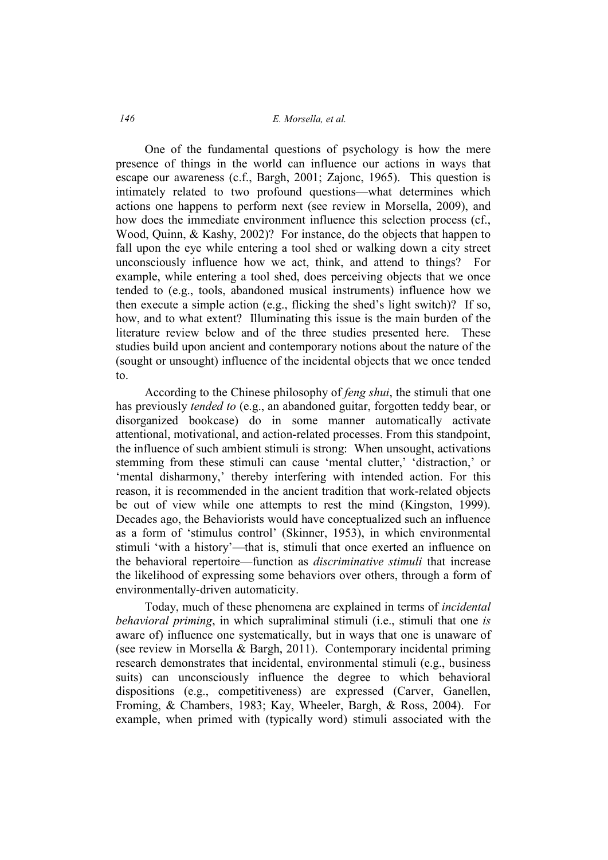# *146 E. Morsella, et al.*

One of the fundamental questions of psychology is how the mere presence of things in the world can influence our actions in ways that escape our awareness (c.f., Bargh, 2001; Zajonc, 1965). This question is intimately related to two profound questions—what determines which actions one happens to perform next (see review in Morsella, 2009), and how does the immediate environment influence this selection process (cf., Wood, Quinn, & Kashy, 2002)? For instance, do the objects that happen to fall upon the eye while entering a tool shed or walking down a city street unconsciously influence how we act, think, and attend to things? For example, while entering a tool shed, does perceiving objects that we once tended to (e.g., tools, abandoned musical instruments) influence how we then execute a simple action (e.g., flicking the shed's light switch)? If so, how, and to what extent? Illuminating this issue is the main burden of the literature review below and of the three studies presented here. These studies build upon ancient and contemporary notions about the nature of the (sought or unsought) influence of the incidental objects that we once tended to.

According to the Chinese philosophy of *feng shui*, the stimuli that one has previously *tended to* (e.g., an abandoned guitar, forgotten teddy bear, or disorganized bookcase) do in some manner automatically activate attentional, motivational, and action-related processes. From this standpoint, the influence of such ambient stimuli is strong: When unsought, activations stemming from these stimuli can cause 'mental clutter,' 'distraction,' or 'mental disharmony,' thereby interfering with intended action. For this reason, it is recommended in the ancient tradition that work-related objects be out of view while one attempts to rest the mind (Kingston, 1999). Decades ago, the Behaviorists would have conceptualized such an influence as a form of 'stimulus control' (Skinner, 1953), in which environmental stimuli 'with a history'—that is, stimuli that once exerted an influence on the behavioral repertoire—function as *discriminative stimuli* that increase the likelihood of expressing some behaviors over others, through a form of environmentally-driven automaticity.

Today, much of these phenomena are explained in terms of *incidental behavioral priming*, in which supraliminal stimuli (i.e., stimuli that one *is* aware of) influence one systematically, but in ways that one is unaware of (see review in Morsella & Bargh, 2011). Contemporary incidental priming research demonstrates that incidental, environmental stimuli (e.g., business suits) can unconsciously influence the degree to which behavioral dispositions (e.g., competitiveness) are expressed (Carver, Ganellen, Froming, & Chambers, 1983; Kay, Wheeler, Bargh, & Ross, 2004). For example, when primed with (typically word) stimuli associated with the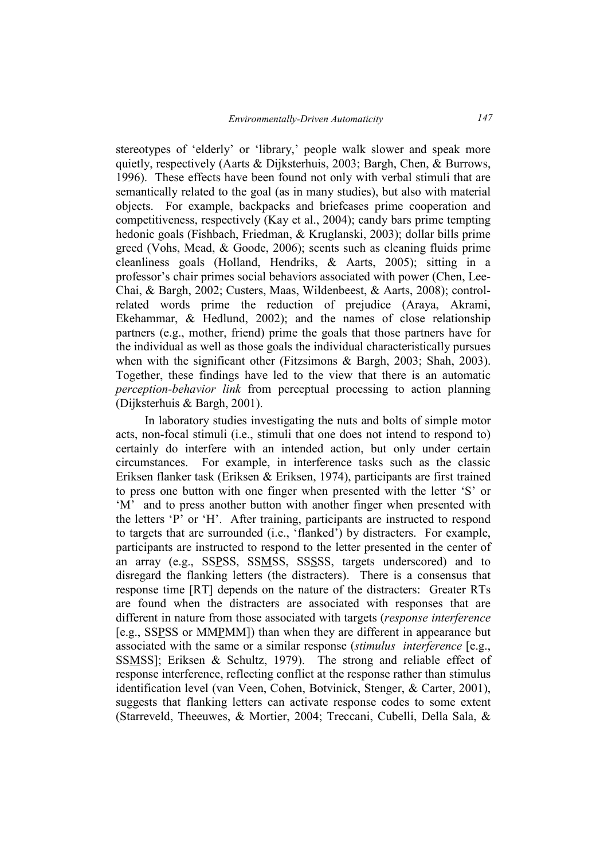stereotypes of 'elderly' or 'library,' people walk slower and speak more quietly, respectively (Aarts & Dijksterhuis, 2003; Bargh, Chen, & Burrows, 1996). These effects have been found not only with verbal stimuli that are semantically related to the goal (as in many studies), but also with material objects. For example, backpacks and briefcases prime cooperation and competitiveness, respectively (Kay et al., 2004); candy bars prime tempting hedonic goals (Fishbach, Friedman, & Kruglanski, 2003); dollar bills prime greed (Vohs, Mead, & Goode, 2006); scents such as cleaning fluids prime cleanliness goals (Holland, Hendriks, & Aarts, 2005); sitting in a professor's chair primes social behaviors associated with power (Chen, Lee-Chai, & Bargh, 2002; Custers, Maas, Wildenbeest, & Aarts, 2008); controlrelated words prime the reduction of prejudice (Araya, Akrami, Ekehammar, & Hedlund, 2002); and the names of close relationship partners (e.g., mother, friend) prime the goals that those partners have for the individual as well as those goals the individual characteristically pursues when with the significant other (Fitzsimons & Bargh, 2003; Shah, 2003). Together, these findings have led to the view that there is an automatic *perception-behavior link* from perceptual processing to action planning (Dijksterhuis & Bargh, 2001).

In laboratory studies investigating the nuts and bolts of simple motor acts, non-focal stimuli (i.e., stimuli that one does not intend to respond to) certainly do interfere with an intended action, but only under certain circumstances. For example, in interference tasks such as the classic Eriksen flanker task (Eriksen & Eriksen, 1974), participants are first trained to press one button with one finger when presented with the letter 'S' or 'M' and to press another button with another finger when presented with the letters 'P' or 'H'. After training, participants are instructed to respond to targets that are surrounded (i.e., 'flanked') by distracters. For example, participants are instructed to respond to the letter presented in the center of an array (e.g., SSPSS, SSMSS, SSSSS, targets underscored) and to disregard the flanking letters (the distracters). There is a consensus that response time [RT] depends on the nature of the distracters: Greater RTs are found when the distracters are associated with responses that are different in nature from those associated with targets (*response interference* [e.g., SSPSS or MMPMM]) than when they are different in appearance but associated with the same or a similar response (*stimulus interference* [e.g., SSMSS]; Eriksen & Schultz, 1979). The strong and reliable effect of response interference, reflecting conflict at the response rather than stimulus identification level (van Veen, Cohen, Botvinick, Stenger, & Carter, 2001), suggests that flanking letters can activate response codes to some extent (Starreveld, Theeuwes, & Mortier, 2004; Treccani, Cubelli, Della Sala, &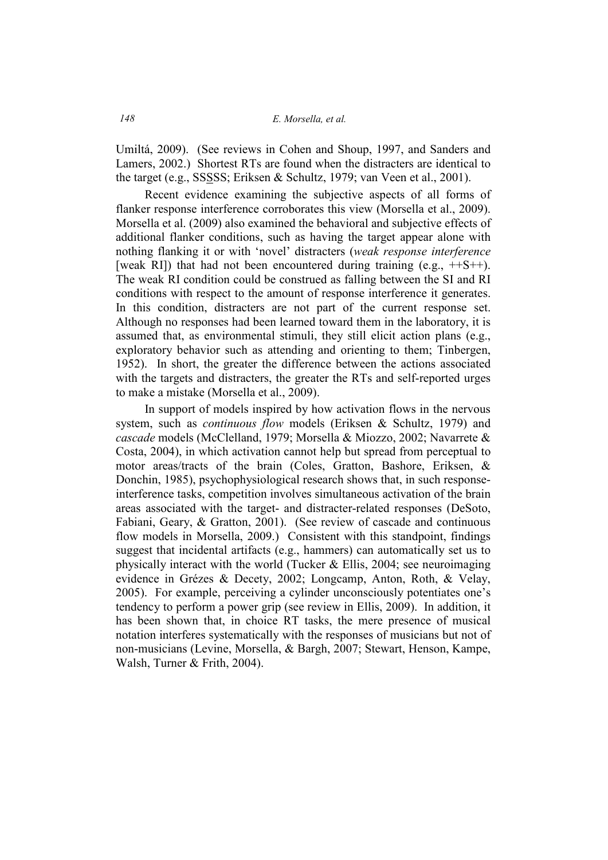#### *148 E. Morsella, et al.*

Umiltá, 2009). (See reviews in Cohen and Shoup, 1997, and Sanders and Lamers, 2002.) Shortest RTs are found when the distracters are identical to the target (e.g., SSSSS; Eriksen & Schultz, 1979; van Veen et al., 2001).

Recent evidence examining the subjective aspects of all forms of flanker response interference corroborates this view (Morsella et al., 2009). Morsella et al. (2009) also examined the behavioral and subjective effects of additional flanker conditions, such as having the target appear alone with nothing flanking it or with 'novel' distracters (*weak response interference* [weak RI]) that had not been encountered during training  $(e.g., +S++)$ . The weak RI condition could be construed as falling between the SI and RI conditions with respect to the amount of response interference it generates. In this condition, distracters are not part of the current response set. Although no responses had been learned toward them in the laboratory, it is assumed that, as environmental stimuli, they still elicit action plans (e.g., exploratory behavior such as attending and orienting to them; Tinbergen, 1952). In short, the greater the difference between the actions associated with the targets and distracters, the greater the RTs and self-reported urges to make a mistake (Morsella et al., 2009).

In support of models inspired by how activation flows in the nervous system, such as *continuous flow* models (Eriksen & Schultz, 1979) and *cascade* models (McClelland, 1979; Morsella & Miozzo, 2002; Navarrete & Costa, 2004), in which activation cannot help but spread from perceptual to motor areas/tracts of the brain (Coles, Gratton, Bashore, Eriksen, & Donchin, 1985), psychophysiological research shows that, in such responseinterference tasks, competition involves simultaneous activation of the brain areas associated with the target- and distracter-related responses (DeSoto, Fabiani, Geary, & Gratton, 2001). (See review of cascade and continuous flow models in Morsella, 2009.) Consistent with this standpoint, findings suggest that incidental artifacts (e.g., hammers) can automatically set us to physically interact with the world (Tucker  $\&$  Ellis, 2004; see neuroimaging evidence in Grézes & Decety, 2002; Longcamp, Anton, Roth, & Velay, 2005). For example, perceiving a cylinder unconsciously potentiates one's tendency to perform a power grip (see review in Ellis, 2009). In addition, it has been shown that, in choice RT tasks, the mere presence of musical notation interferes systematically with the responses of musicians but not of non-musicians (Levine, Morsella, & Bargh, 2007; Stewart, Henson, Kampe, Walsh, Turner & Frith, 2004).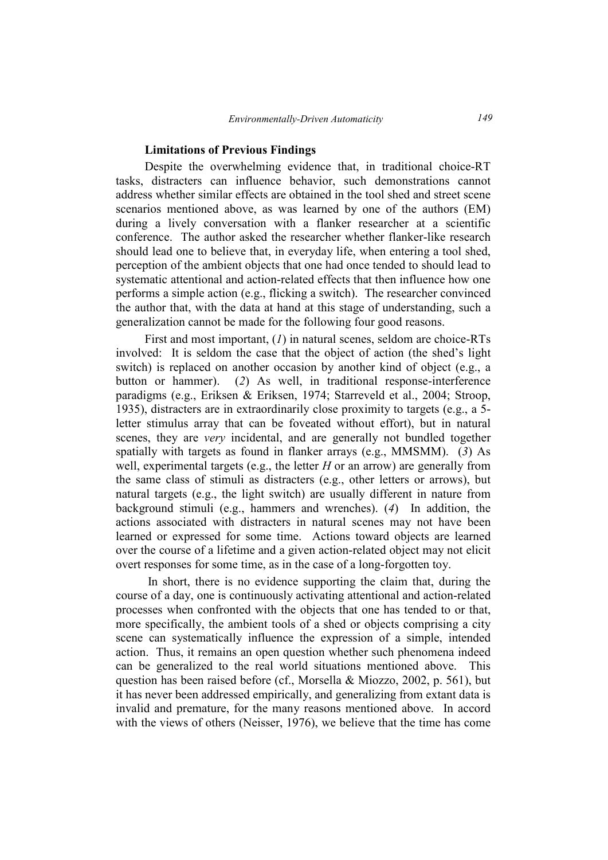### **Limitations of Previous Findings**

Despite the overwhelming evidence that, in traditional choice-RT tasks, distracters can influence behavior, such demonstrations cannot address whether similar effects are obtained in the tool shed and street scene scenarios mentioned above, as was learned by one of the authors (EM) during a lively conversation with a flanker researcher at a scientific conference. The author asked the researcher whether flanker-like research should lead one to believe that, in everyday life, when entering a tool shed, perception of the ambient objects that one had once tended to should lead to systematic attentional and action-related effects that then influence how one performs a simple action (e.g., flicking a switch). The researcher convinced the author that, with the data at hand at this stage of understanding, such a generalization cannot be made for the following four good reasons.

First and most important, (*1*) in natural scenes, seldom are choice-RTs involved: It is seldom the case that the object of action (the shed's light switch) is replaced on another occasion by another kind of object (e.g., a button or hammer). (*2*) As well, in traditional response-interference paradigms (e.g., Eriksen & Eriksen, 1974; Starreveld et al., 2004; Stroop, 1935), distracters are in extraordinarily close proximity to targets (e.g., a 5 letter stimulus array that can be foveated without effort), but in natural scenes, they are *very* incidental, and are generally not bundled together spatially with targets as found in flanker arrays (e.g., MMSMM). (*3*) As well, experimental targets (e.g., the letter *H* or an arrow) are generally from the same class of stimuli as distracters (e.g., other letters or arrows), but natural targets (e.g., the light switch) are usually different in nature from background stimuli (e.g., hammers and wrenches). (*4*) In addition, the actions associated with distracters in natural scenes may not have been learned or expressed for some time. Actions toward objects are learned over the course of a lifetime and a given action-related object may not elicit overt responses for some time, as in the case of a long-forgotten toy.

 In short, there is no evidence supporting the claim that, during the course of a day, one is continuously activating attentional and action-related processes when confronted with the objects that one has tended to or that, more specifically, the ambient tools of a shed or objects comprising a city scene can systematically influence the expression of a simple, intended action. Thus, it remains an open question whether such phenomena indeed can be generalized to the real world situations mentioned above. This question has been raised before (cf., Morsella & Miozzo, 2002, p. 561), but it has never been addressed empirically, and generalizing from extant data is invalid and premature, for the many reasons mentioned above. In accord with the views of others (Neisser, 1976), we believe that the time has come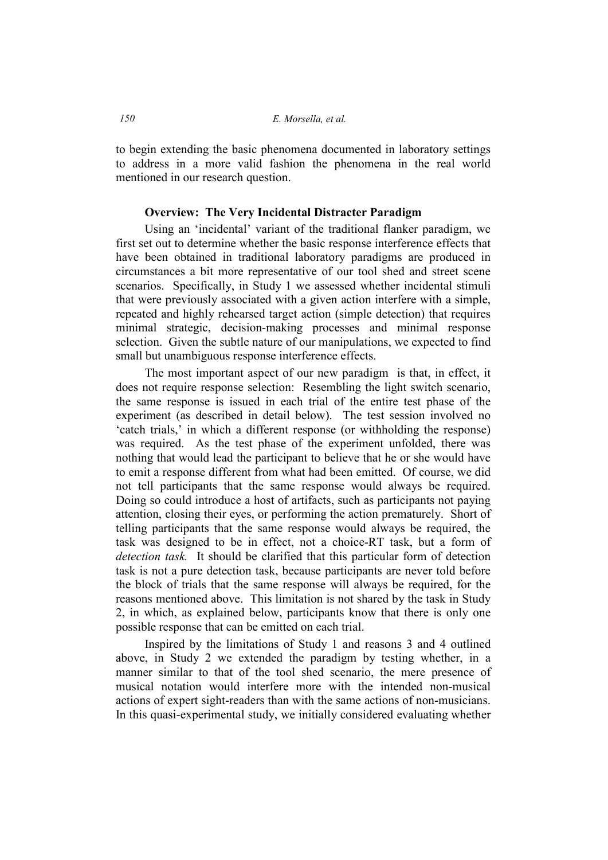to begin extending the basic phenomena documented in laboratory settings to address in a more valid fashion the phenomena in the real world mentioned in our research question.

### **Overview: The Very Incidental Distracter Paradigm**

Using an 'incidental' variant of the traditional flanker paradigm, we first set out to determine whether the basic response interference effects that have been obtained in traditional laboratory paradigms are produced in circumstances a bit more representative of our tool shed and street scene scenarios. Specifically, in Study 1 we assessed whether incidental stimuli that were previously associated with a given action interfere with a simple, repeated and highly rehearsed target action (simple detection) that requires minimal strategic, decision-making processes and minimal response selection. Given the subtle nature of our manipulations, we expected to find small but unambiguous response interference effects.

The most important aspect of our new paradigm is that, in effect, it does not require response selection: Resembling the light switch scenario, the same response is issued in each trial of the entire test phase of the experiment (as described in detail below). The test session involved no 'catch trials,' in which a different response (or withholding the response) was required. As the test phase of the experiment unfolded, there was nothing that would lead the participant to believe that he or she would have to emit a response different from what had been emitted. Of course, we did not tell participants that the same response would always be required. Doing so could introduce a host of artifacts, such as participants not paying attention, closing their eyes, or performing the action prematurely. Short of telling participants that the same response would always be required, the task was designed to be in effect, not a choice-RT task, but a form of *detection task.* It should be clarified that this particular form of detection task is not a pure detection task, because participants are never told before the block of trials that the same response will always be required, for the reasons mentioned above. This limitation is not shared by the task in Study 2, in which, as explained below, participants know that there is only one possible response that can be emitted on each trial.

Inspired by the limitations of Study 1 and reasons 3 and 4 outlined above, in Study 2 we extended the paradigm by testing whether, in a manner similar to that of the tool shed scenario, the mere presence of musical notation would interfere more with the intended non-musical actions of expert sight-readers than with the same actions of non-musicians. In this quasi-experimental study, we initially considered evaluating whether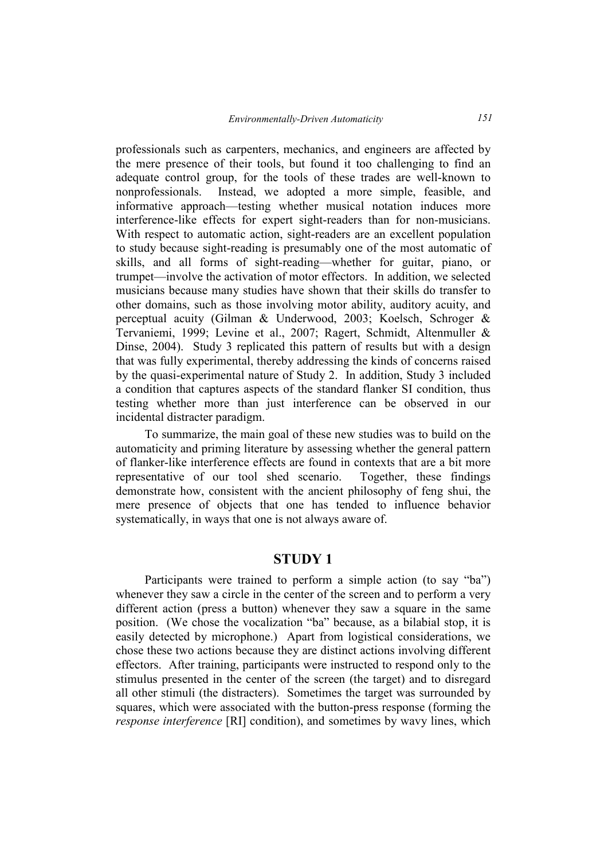professionals such as carpenters, mechanics, and engineers are affected by the mere presence of their tools, but found it too challenging to find an adequate control group, for the tools of these trades are well-known to nonprofessionals. Instead, we adopted a more simple, feasible, and informative approach—testing whether musical notation induces more interference-like effects for expert sight-readers than for non-musicians. With respect to automatic action, sight-readers are an excellent population to study because sight-reading is presumably one of the most automatic of skills, and all forms of sight-reading—whether for guitar, piano, or trumpet—involve the activation of motor effectors. In addition, we selected musicians because many studies have shown that their skills do transfer to other domains, such as those involving motor ability, auditory acuity, and perceptual acuity (Gilman & Underwood, 2003; Koelsch, Schroger & Tervaniemi, 1999; Levine et al., 2007; Ragert, Schmidt, Altenmuller & Dinse, 2004). Study 3 replicated this pattern of results but with a design that was fully experimental, thereby addressing the kinds of concerns raised by the quasi-experimental nature of Study 2. In addition, Study 3 included a condition that captures aspects of the standard flanker SI condition, thus testing whether more than just interference can be observed in our incidental distracter paradigm.

To summarize, the main goal of these new studies was to build on the automaticity and priming literature by assessing whether the general pattern of flanker-like interference effects are found in contexts that are a bit more representative of our tool shed scenario. Together, these findings demonstrate how, consistent with the ancient philosophy of feng shui, the mere presence of objects that one has tended to influence behavior systematically, in ways that one is not always aware of.

# **STUDY 1**

Participants were trained to perform a simple action (to say "ba") whenever they saw a circle in the center of the screen and to perform a very different action (press a button) whenever they saw a square in the same position. (We chose the vocalization "ba" because, as a bilabial stop, it is easily detected by microphone.) Apart from logistical considerations, we chose these two actions because they are distinct actions involving different effectors. After training, participants were instructed to respond only to the stimulus presented in the center of the screen (the target) and to disregard all other stimuli (the distracters). Sometimes the target was surrounded by squares, which were associated with the button-press response (forming the *response interference* [RI] condition), and sometimes by wavy lines, which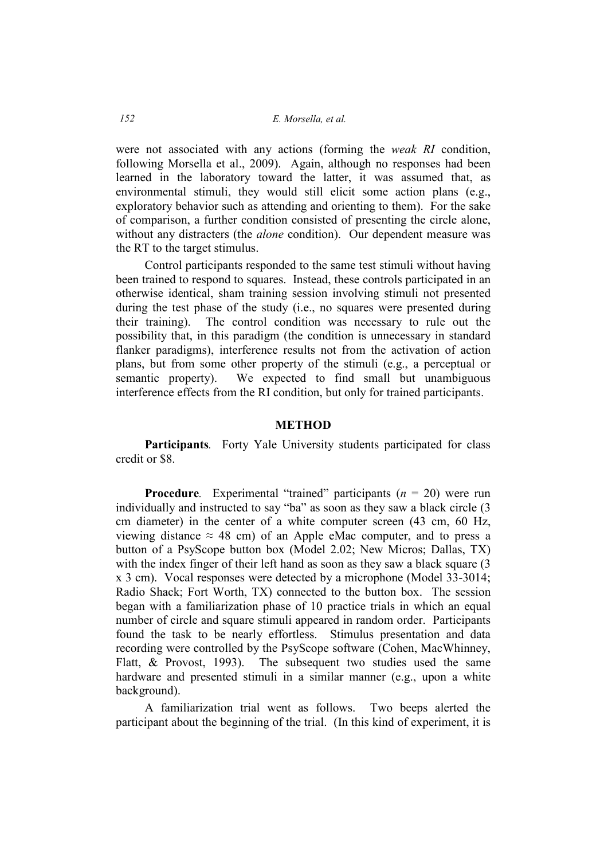were not associated with any actions (forming the *weak RI* condition, following Morsella et al., 2009). Again, although no responses had been learned in the laboratory toward the latter, it was assumed that, as environmental stimuli, they would still elicit some action plans (e.g., exploratory behavior such as attending and orienting to them). For the sake of comparison, a further condition consisted of presenting the circle alone, without any distracters (the *alone* condition). Our dependent measure was the RT to the target stimulus.

Control participants responded to the same test stimuli without having been trained to respond to squares. Instead, these controls participated in an otherwise identical, sham training session involving stimuli not presented during the test phase of the study (i.e., no squares were presented during their training). The control condition was necessary to rule out the possibility that, in this paradigm (the condition is unnecessary in standard flanker paradigms), interference results not from the activation of action plans, but from some other property of the stimuli (e.g., a perceptual or semantic property). We expected to find small but unambiguous interference effects from the RI condition, but only for trained participants.

#### **METHOD**

**Participants***.* Forty Yale University students participated for class credit or \$8.

**Procedure***.* Experimental "trained" participants  $(n = 20)$  were run individually and instructed to say "ba" as soon as they saw a black circle (3 cm diameter) in the center of a white computer screen (43 cm, 60 Hz, viewing distance  $\approx$  48 cm) of an Apple eMac computer, and to press a button of a PsyScope button box (Model 2.02; New Micros; Dallas, TX) with the index finger of their left hand as soon as they saw a black square (3) x 3 cm). Vocal responses were detected by a microphone (Model 33-3014; Radio Shack; Fort Worth, TX) connected to the button box. The session began with a familiarization phase of 10 practice trials in which an equal number of circle and square stimuli appeared in random order. Participants found the task to be nearly effortless. Stimulus presentation and data recording were controlled by the PsyScope software (Cohen, MacWhinney, Flatt, & Provost, 1993). The subsequent two studies used the same hardware and presented stimuli in a similar manner (e.g., upon a white background).

A familiarization trial went as follows. Two beeps alerted the participant about the beginning of the trial. (In this kind of experiment, it is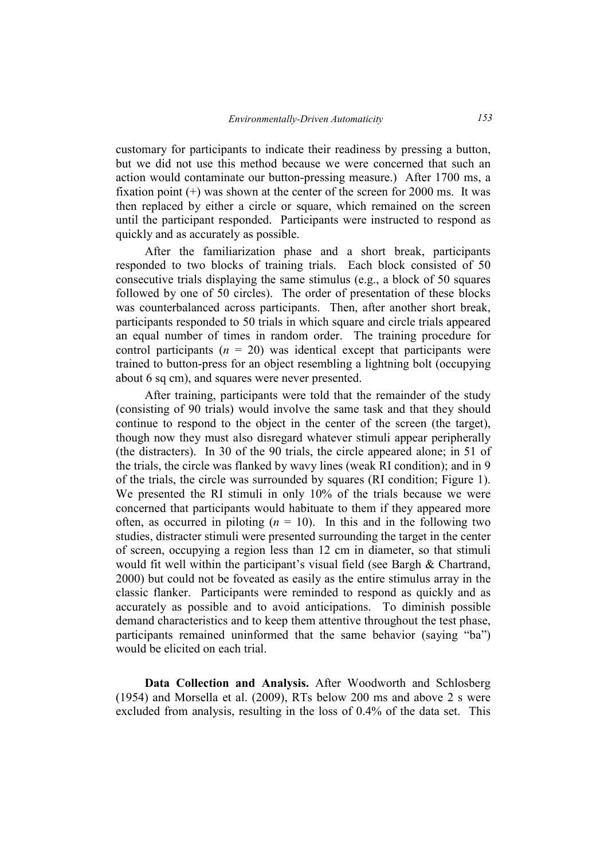customary for participants to indicate their readiness by pressing a button, but we did not use this method because we were concerned that such an action would contaminate our button-pressing measure.) After 1700 ms, a fixation point  $(+)$  was shown at the center of the screen for 2000 ms. It was then replaced by either a circle or square, which remained on the screen until the participant responded. Participants were instructed to respond as quickly and as accurately as possible.

After the familiarization phase and a short break, participants responded to two blocks of training trials. Each block consisted of 50 consecutive trials displaying the same stimulus (e.g., a block of 50 squares followed by one of 50 circles). The order of presentation of these blocks was counterbalanced across participants. Then, after another short break, participants responded to 50 trials in which square and circle trials appeared an equal number of times in random order. The training procedure for control participants  $(n = 20)$  was identical except that participants were trained to button-press for an object resembling a lightning bolt (occupying about 6 sq cm), and squares were never presented.

After training, participants were told that the remainder of the study (consisting of 90 trials) would involve the same task and that they should continue to respond to the object in the center of the screen (the target), though now they must also disregard whatever stimuli appear peripherally (the distracters). In 30 of the 90 trials, the circle appeared alone; in 51 of the trials, the circle was flanked by wavy lines (weak RI condition); and in 9 of the trials, the circle was surrounded by squares (RI condition; Figure 1). We presented the RI stimuli in only 10% of the trials because we were concerned that participants would habituate to them if they appeared more often, as occurred in piloting  $(n = 10)$ . In this and in the following two studies, distracter stimuli were presented surrounding the target in the center of screen, occupying a region less than 12 cm in diameter, so that stimuli would fit well within the participant's visual field (see Bargh & Chartrand, 2000) but could not be foveated as easily as the entire stimulus array in the classic flanker. Participants were reminded to respond as quickly and as accurately as possible and to avoid anticipations. To diminish possible demand characteristics and to keep them attentive throughout the test phase, participants remained uninformed that the same behavior (saying "ba") would be elicited on each trial.

**Data Collection and Analysis.** After Woodworth and Schlosberg (1954) and Morsella et al. (2009), RTs below 200 ms and above 2 s were excluded from analysis, resulting in the loss of 0.4% of the data set. This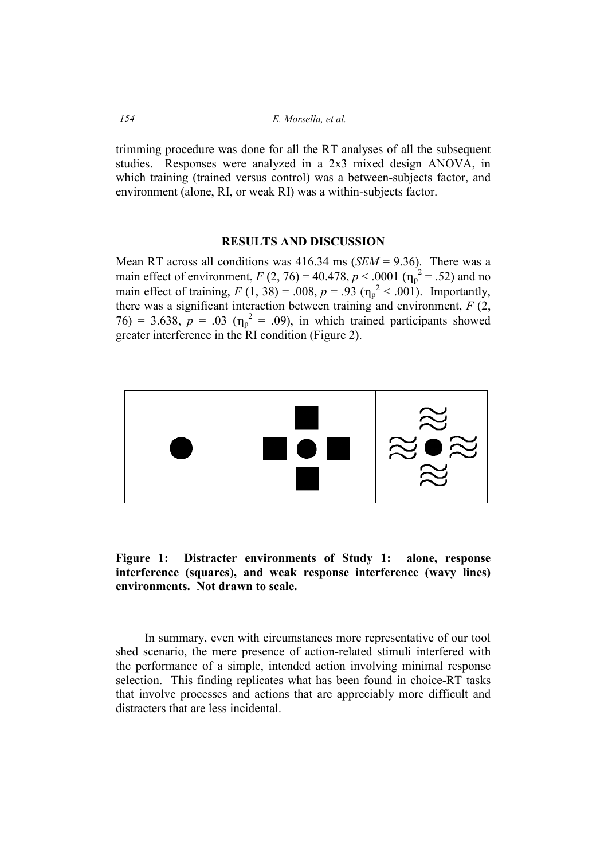*154 E. Morsella, et al.* 

trimming procedure was done for all the RT analyses of all the subsequent studies. Responses were analyzed in a 2x3 mixed design ANOVA, in which training (trained versus control) was a between-subjects factor, and environment (alone, RI, or weak RI) was a within-subjects factor.

### **RESULTS AND DISCUSSION**

Mean RT across all conditions was 416.34 ms (*SEM* = 9.36). There was a main effect of environment,  $F(2, 76) = 40.478$ ,  $p < .0001$  ( $\eta_p^2 = .52$ ) and no main effect of training,  $F(1, 38) = .008$ ,  $p = .93$  ( $\eta_p^2 < .001$ ). Importantly, there was a significant interaction between training and environment, *F* (2,  $76$ ) = 3.638,  $p = .03$  ( $\eta_p^2 = .09$ ), in which trained participants showed greater interference in the RI condition (Figure 2).



**Figure 1: Distracter environments of Study 1: alone, response interference (squares), and weak response interference (wavy lines) environments.** Not drawn to scale.

In summary, even with circumstances more representative of our tool shed scenario, the mere presence of action-related stimuli interfered with the performance of a simple, intended action involving minimal response selection. This finding replicates what has been found in choice-RT tasks that involve processes and actions that are appreciably more difficult and distracters that are less incidental.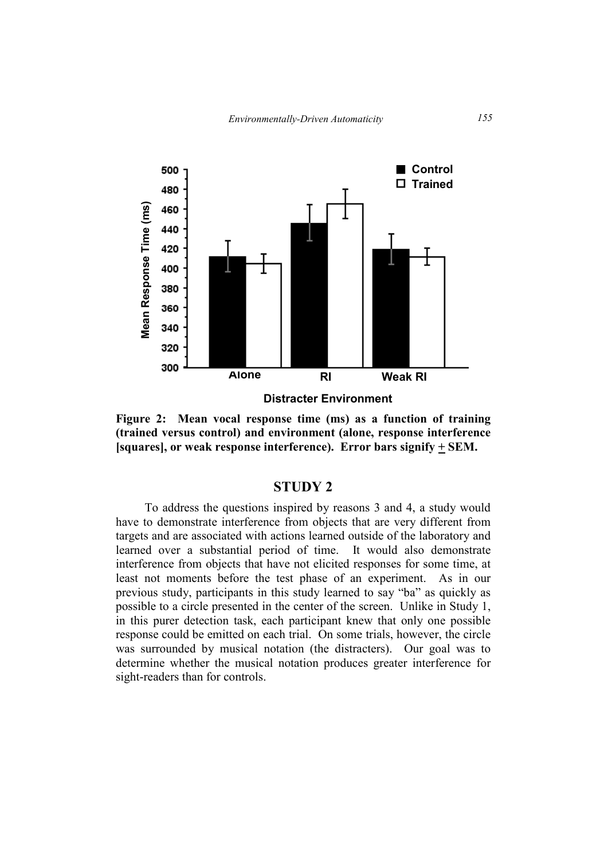

**Figure 2: Mean vocal response time (ms) as a function of training (trained versus control) and environment (alone, response interference [squares], or weak response interference). Error bars signify + SEM.** 

# **STUDY 2**

To address the questions inspired by reasons 3 and 4, a study would have to demonstrate interference from objects that are very different from targets and are associated with actions learned outside of the laboratory and learned over a substantial period of time. It would also demonstrate interference from objects that have not elicited responses for some time, at least not moments before the test phase of an experiment. As in our previous study, participants in this study learned to say "ba" as quickly as possible to a circle presented in the center of the screen. Unlike in Study 1, in this purer detection task, each participant knew that only one possible response could be emitted on each trial. On some trials, however, the circle was surrounded by musical notation (the distracters). Our goal was to determine whether the musical notation produces greater interference for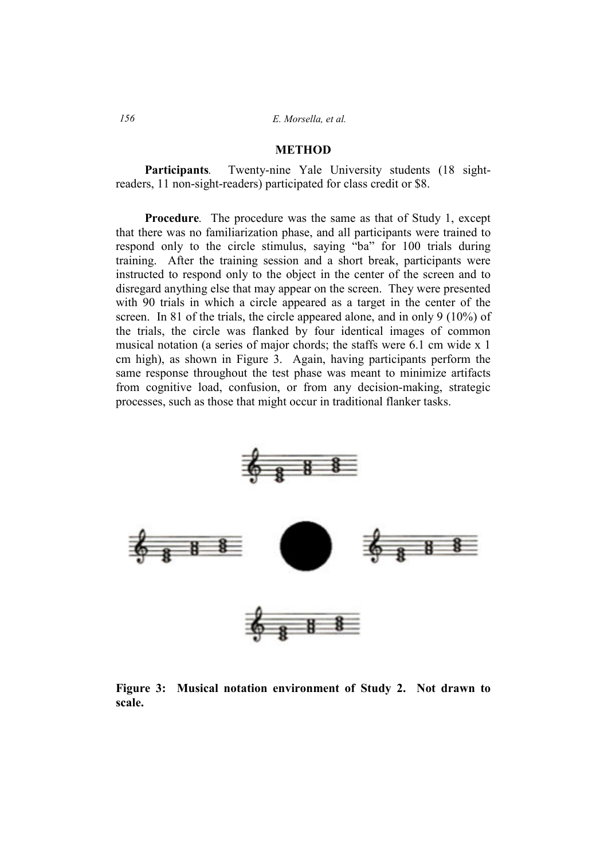#### **METHOD**

**Participants***.* Twenty-nine Yale University students (18 sightreaders, 11 non-sight-readers) participated for class credit or \$8.

**Procedure***.* The procedure was the same as that of Study 1, except that there was no familiarization phase, and all participants were trained to respond only to the circle stimulus, saying "ba" for 100 trials during training. After the training session and a short break, participants were instructed to respond only to the object in the center of the screen and to disregard anything else that may appear on the screen. They were presented with 90 trials in which a circle appeared as a target in the center of the screen. In 81 of the trials, the circle appeared alone, and in only 9 (10%) of the trials, the circle was flanked by four identical images of common musical notation (a series of major chords; the staffs were 6.1 cm wide x 1 cm high), as shown in Figure 3. Again, having participants perform the same response throughout the test phase was meant to minimize artifacts from cognitive load, confusion, or from any decision-making, strategic processes, such as those that might occur in traditional flanker tasks.



Figure 3: Musical notation environment of Study 2. Not drawn to **scale.**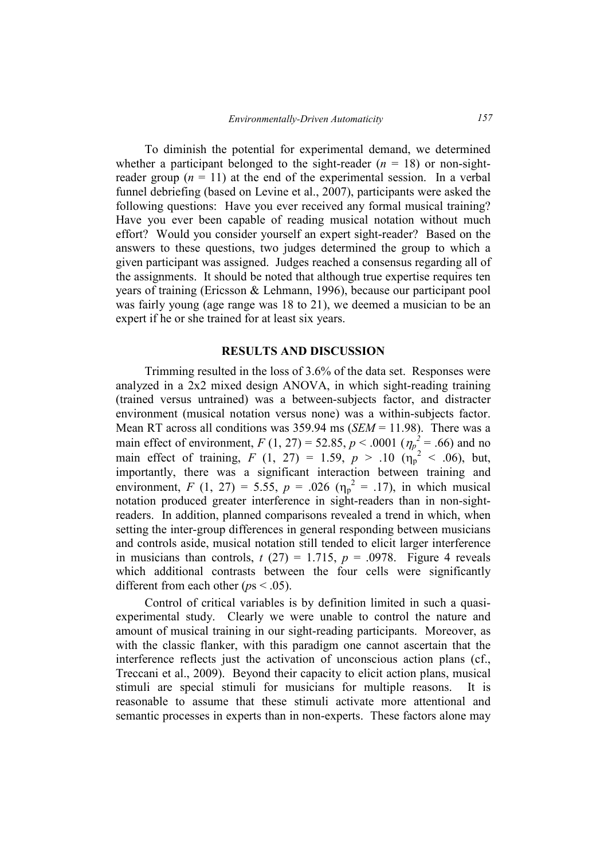To diminish the potential for experimental demand, we determined whether a participant belonged to the sight-reader  $(n = 18)$  or non-sightreader group  $(n = 11)$  at the end of the experimental session. In a verbal funnel debriefing (based on Levine et al., 2007), participants were asked the following questions: Have you ever received any formal musical training? Have you ever been capable of reading musical notation without much effort? Would you consider yourself an expert sight-reader? Based on the answers to these questions, two judges determined the group to which a given participant was assigned. Judges reached a consensus regarding all of the assignments. It should be noted that although true expertise requires ten years of training (Ericsson & Lehmann, 1996), because our participant pool was fairly young (age range was 18 to 21), we deemed a musician to be an expert if he or she trained for at least six years.

#### **RESULTS AND DISCUSSION**

Trimming resulted in the loss of 3.6% of the data set. Responses were analyzed in a 2x2 mixed design ANOVA, in which sight-reading training (trained versus untrained) was a between-subjects factor, and distracter environment (musical notation versus none) was a within-subjects factor. Mean RT across all conditions was 359.94 ms (*SEM* = 11.98). There was a main effect of environment,  $F(1, 27) = 52.85$ ,  $p < .0001$  ( $\eta_p^2 = .66$ ) and no main effect of training,  $F(1, 27) = 1.59$ ,  $p > .10 (n_p^2 < .06)$ , but, importantly, there was a significant interaction between training and environment, *F* (1, 27) = 5.55, *p* = .026 ( $\eta_p^2$  = .17), in which musical notation produced greater interference in sight-readers than in non-sightreaders. In addition, planned comparisons revealed a trend in which, when setting the inter-group differences in general responding between musicians and controls aside, musical notation still tended to elicit larger interference in musicians than controls,  $t(27) = 1.715$ ,  $p = .0978$ . Figure 4 reveals which additional contrasts between the four cells were significantly different from each other (*p*s < .05).

Control of critical variables is by definition limited in such a quasiexperimental study. Clearly we were unable to control the nature and amount of musical training in our sight-reading participants. Moreover, as with the classic flanker, with this paradigm one cannot ascertain that the interference reflects just the activation of unconscious action plans (cf., Treccani et al., 2009). Beyond their capacity to elicit action plans, musical stimuli are special stimuli for musicians for multiple reasons. It is reasonable to assume that these stimuli activate more attentional and semantic processes in experts than in non-experts. These factors alone may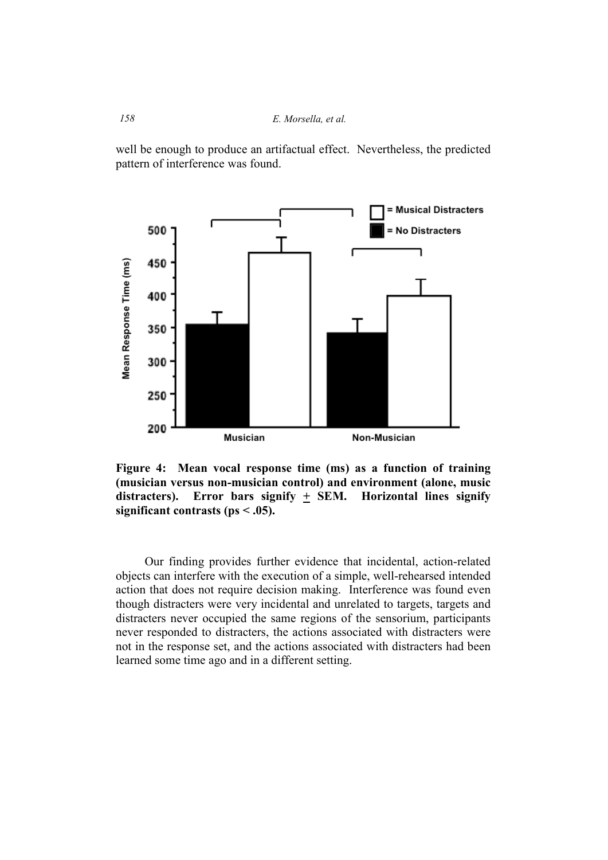well be enough to produce an artifactual effect. Nevertheless, the predicted pattern of interference was found.



**Figure 4: Mean vocal response time (ms) as a function of training (musician versus non-musician control) and environment (alone, music**  distracters). Error bars signify  $\pm$  SEM. Horizontal lines signify **significant contrasts (ps < .05).** 

Our finding provides further evidence that incidental, action-related objects can interfere with the execution of a simple, well-rehearsed intended action that does not require decision making. Interference was found even though distracters were very incidental and unrelated to targets, targets and distracters never occupied the same regions of the sensorium, participants never responded to distracters, the actions associated with distracters were not in the response set, and the actions associated with distracters had been learned some time ago and in a different setting.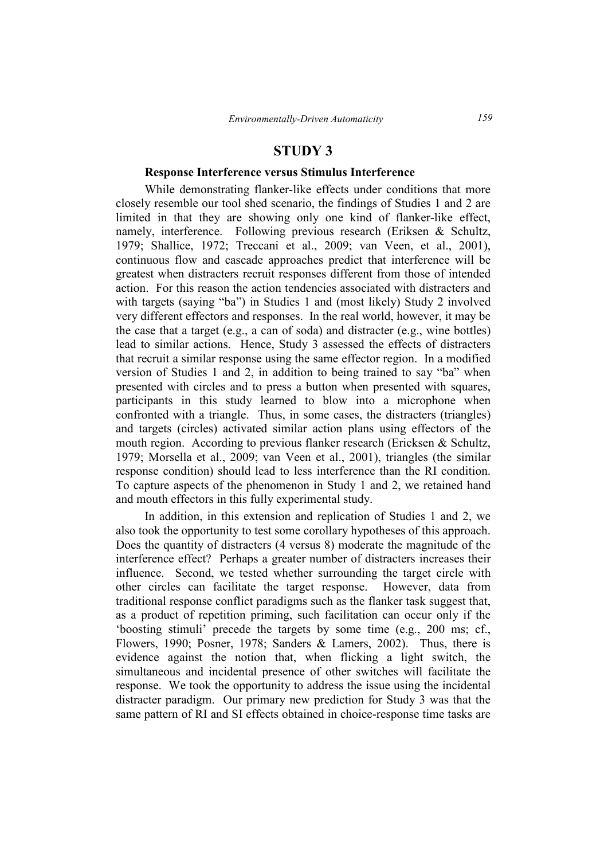# **STUDY 3**

#### **Response Interference versus Stimulus Interference**

While demonstrating flanker-like effects under conditions that more closely resemble our tool shed scenario, the findings of Studies 1 and 2 are limited in that they are showing only one kind of flanker-like effect, namely, interference. Following previous research (Eriksen & Schultz, 1979; Shallice, 1972; Treccani et al., 2009; van Veen, et al., 2001), continuous flow and cascade approaches predict that interference will be greatest when distracters recruit responses different from those of intended action. For this reason the action tendencies associated with distracters and with targets (saying "ba") in Studies 1 and (most likely) Study 2 involved very different effectors and responses. In the real world, however, it may be the case that a target (e.g., a can of soda) and distracter (e.g., wine bottles) lead to similar actions. Hence, Study 3 assessed the effects of distracters that recruit a similar response using the same effector region. In a modified version of Studies 1 and 2, in addition to being trained to say "ba" when presented with circles and to press a button when presented with squares, participants in this study learned to blow into a microphone when confronted with a triangle. Thus, in some cases, the distracters (triangles) and targets (circles) activated similar action plans using effectors of the mouth region. According to previous flanker research (Ericksen & Schultz, 1979; Morsella et al., 2009; van Veen et al., 2001), triangles (the similar response condition) should lead to less interference than the RI condition. To capture aspects of the phenomenon in Study 1 and 2, we retained hand and mouth effectors in this fully experimental study.

In addition, in this extension and replication of Studies 1 and 2, we also took the opportunity to test some corollary hypotheses of this approach. Does the quantity of distracters (4 versus 8) moderate the magnitude of the interference effect? Perhaps a greater number of distracters increases their influence. Second, we tested whether surrounding the target circle with other circles can facilitate the target response. However, data from traditional response conflict paradigms such as the flanker task suggest that, as a product of repetition priming, such facilitation can occur only if the 'boosting stimuli' precede the targets by some time (e.g., 200 ms; cf., Flowers, 1990; Posner, 1978; Sanders & Lamers, 2002). Thus, there is evidence against the notion that, when flicking a light switch, the simultaneous and incidental presence of other switches will facilitate the response. We took the opportunity to address the issue using the incidental distracter paradigm. Our primary new prediction for Study 3 was that the same pattern of RI and SI effects obtained in choice-response time tasks are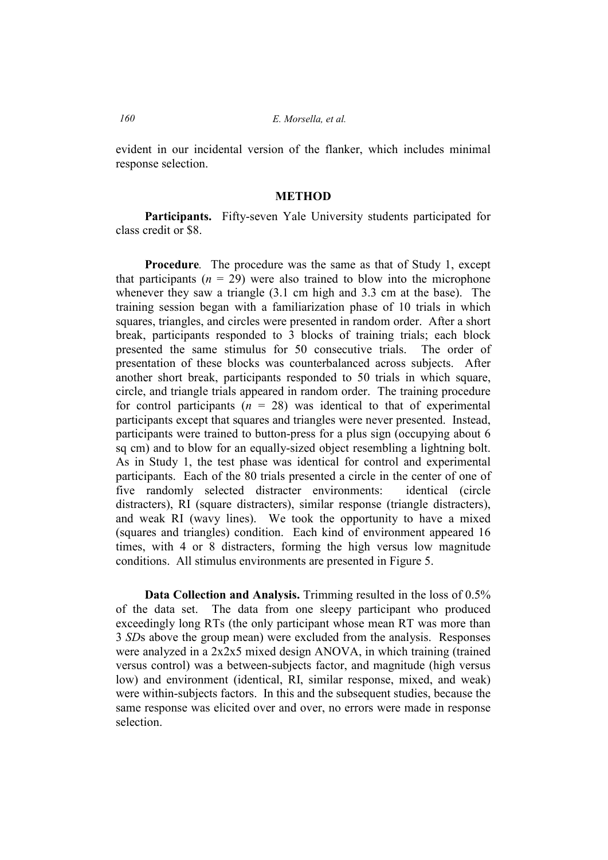evident in our incidental version of the flanker, which includes minimal response selection.

#### **METHOD**

**Participants.**Fifty-seven Yale University students participated for class credit or \$8.

**Procedure***.* The procedure was the same as that of Study 1, except that participants  $(n = 29)$  were also trained to blow into the microphone whenever they saw a triangle (3.1 cm high and 3.3 cm at the base). The training session began with a familiarization phase of 10 trials in which squares, triangles, and circles were presented in random order. After a short break, participants responded to 3 blocks of training trials; each block presented the same stimulus for 50 consecutive trials. The order of presentation of these blocks was counterbalanced across subjects. After another short break, participants responded to 50 trials in which square, circle, and triangle trials appeared in random order. The training procedure for control participants  $(n = 28)$  was identical to that of experimental participants except that squares and triangles were never presented. Instead, participants were trained to button-press for a plus sign (occupying about 6 sq cm) and to blow for an equally-sized object resembling a lightning bolt. As in Study 1, the test phase was identical for control and experimental participants. Each of the 80 trials presented a circle in the center of one of five randomly selected distracter environments: identical (circle distracters), RI (square distracters), similar response (triangle distracters), and weak RI (wavy lines). We took the opportunity to have a mixed (squares and triangles) condition. Each kind of environment appeared 16 times, with 4 or 8 distracters, forming the high versus low magnitude conditions. All stimulus environments are presented in Figure 5.

**Data Collection and Analysis.** Trimming resulted in the loss of 0.5% of the data set. The data from one sleepy participant who produced exceedingly long RTs (the only participant whose mean RT was more than 3 *SD*s above the group mean) were excluded from the analysis. Responses were analyzed in a 2x2x5 mixed design ANOVA, in which training (trained versus control) was a between-subjects factor, and magnitude (high versus low) and environment (identical, RI, similar response, mixed, and weak) were within-subjects factors. In this and the subsequent studies, because the same response was elicited over and over, no errors were made in response selection.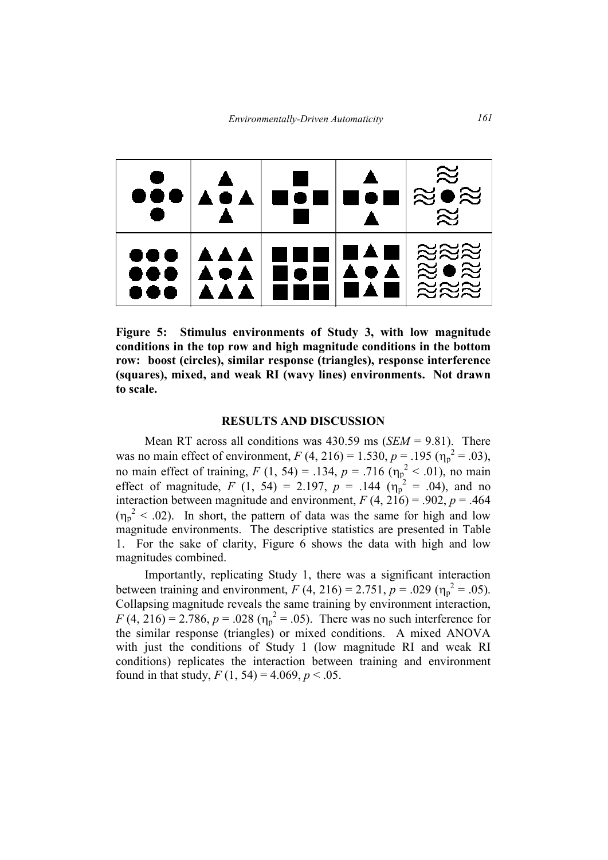

**Figure 5: Stimulus environments of Study 3, with low magnitude conditions in the top row and high magnitude conditions in the bottom row: boost (circles), similar response (triangles), response interference**  (squares), mixed, and weak RI (wavy lines) environments. Not drawn **to scale.** 

#### **RESULTS AND DISCUSSION**

Mean RT across all conditions was 430.59 ms (*SEM* = 9.81). There was no main effect of environment,  $F(4, 216) = 1.530$ ,  $p = .195$  ( $\eta_p^2 = .03$ ), no main effect of training,  $F(1, 54) = .134$ ,  $p = .716$  ( $\eta_p^2 < .01$ ), no main effect of magnitude,  $F(1, 54) = 2.197$ ,  $p = .144$  ( $\eta_p^2 = .04$ ), and no interaction between magnitude and environment,  $F(4, 216) = .902$ ,  $p = .464$  $(\eta_p^2 < .02)$ . In short, the pattern of data was the same for high and low magnitude environments. The descriptive statistics are presented in Table 1. For the sake of clarity, Figure 6 shows the data with high and low magnitudes combined.

Importantly, replicating Study 1, there was a significant interaction between training and environment,  $F(4, 216) = 2.751$ ,  $p = .029$  ( $\eta_p^2 = .05$ ). Collapsing magnitude reveals the same training by environment interaction,  $F(4, 216) = 2.786$ ,  $p = .028$  ( $\eta_p^2 = .05$ ). There was no such interference for the similar response (triangles) or mixed conditions. A mixed ANOVA with just the conditions of Study 1 (low magnitude RI and weak RI conditions) replicates the interaction between training and environment found in that study,  $F(1, 54) = 4.069$ ,  $p < .05$ .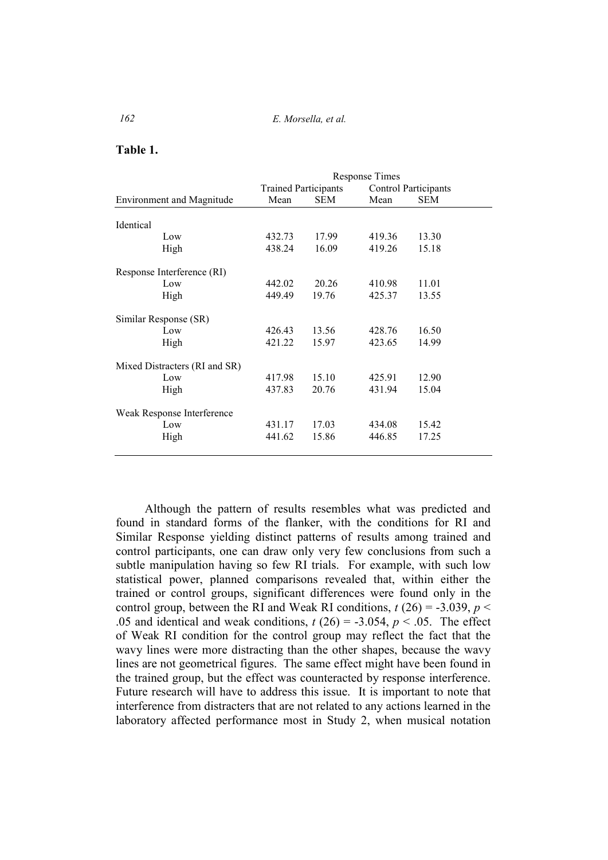**Table 1.** 

|                                  | <b>Response Times</b>       |            |                      |            |
|----------------------------------|-----------------------------|------------|----------------------|------------|
|                                  | <b>Trained Participants</b> |            | Control Participants |            |
| <b>Environment and Magnitude</b> | Mean                        | <b>SEM</b> | Mean                 | <b>SEM</b> |
|                                  |                             |            |                      |            |
| Identical                        |                             |            |                      |            |
| Low                              | 432.73                      | 17.99      | 419.36               | 13.30      |
| High                             | 438.24                      | 16.09      | 419.26               | 15.18      |
| Response Interference (RI)       |                             |            |                      |            |
| Low                              | 442.02                      | 20.26      | 410.98               | 11.01      |
| High                             | 449.49                      | 19.76      | 425.37               | 13.55      |
| Similar Response (SR)            |                             |            |                      |            |
| Low                              | 426.43                      | 13.56      | 428.76               | 16.50      |
| High                             | 421.22                      | 15.97      | 423.65               | 14.99      |
| Mixed Distracters (RI and SR)    |                             |            |                      |            |
| Low                              | 417.98                      | 15.10      | 425.91               | 12.90      |
| High                             | 437.83                      | 20.76      | 431.94               | 15.04      |
| Weak Response Interference       |                             |            |                      |            |
| Low                              | 431.17                      | 17.03      | 434.08               | 15.42      |
| High                             | 441.62                      | 15.86      | 446.85               | 17.25      |
|                                  |                             |            |                      |            |

Although the pattern of results resembles what was predicted and found in standard forms of the flanker, with the conditions for RI and Similar Response yielding distinct patterns of results among trained and control participants, one can draw only very few conclusions from such a subtle manipulation having so few RI trials. For example, with such low statistical power, planned comparisons revealed that, within either the trained or control groups, significant differences were found only in the control group, between the RI and Weak RI conditions,  $t(26) = -3.039$ ,  $p <$ .05 and identical and weak conditions,  $t(26) = -3.054$ ,  $p < .05$ . The effect of Weak RI condition for the control group may reflect the fact that the wavy lines were more distracting than the other shapes, because the wavy lines are not geometrical figures. The same effect might have been found in the trained group, but the effect was counteracted by response interference. Future research will have to address this issue. It is important to note that interference from distracters that are not related to any actions learned in the laboratory affected performance most in Study 2, when musical notation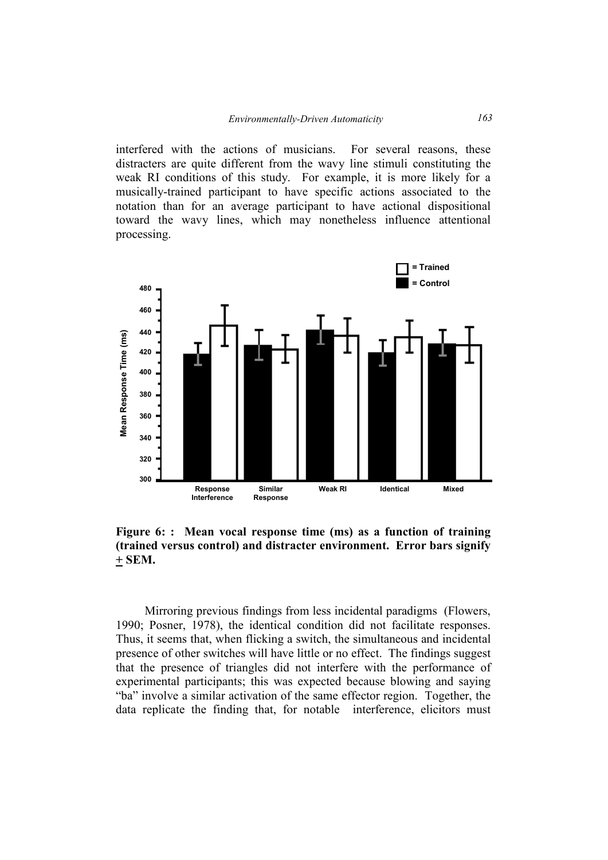interfered with the actions of musicians. For several reasons, these distracters are quite different from the wavy line stimuli constituting the weak RI conditions of this study. For example, it is more likely for a musically-trained participant to have specific actions associated to the notation than for an average participant to have actional dispositional toward the wavy lines, which may nonetheless influence attentional processing.



**Figure 6: : Mean vocal response time (ms) as a function of training (trained versus control) and distracter environment. Error bars signify + SEM.** 

Mirroring previous findings from less incidental paradigms (Flowers, 1990; Posner, 1978), the identical condition did not facilitate responses. Thus, it seems that, when flicking a switch, the simultaneous and incidental presence of other switches will have little or no effect. The findings suggest that the presence of triangles did not interfere with the performance of experimental participants; this was expected because blowing and saying "ba" involve a similar activation of the same effector region. Together, the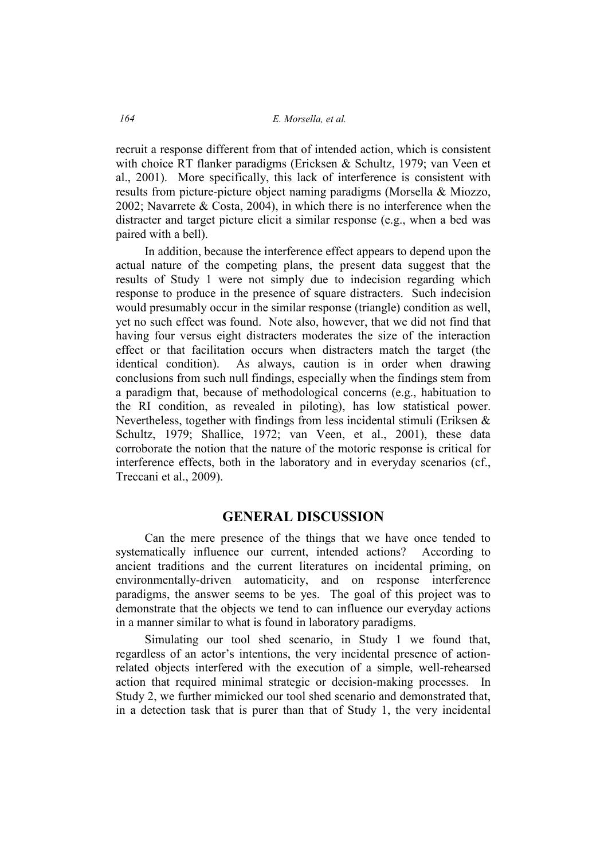recruit a response different from that of intended action, which is consistent with choice RT flanker paradigms (Ericksen & Schultz, 1979; van Veen et al., 2001). More specifically, this lack of interference is consistent with results from picture-picture object naming paradigms (Morsella & Miozzo, 2002; Navarrete & Costa, 2004), in which there is no interference when the distracter and target picture elicit a similar response (e.g., when a bed was paired with a bell).

In addition, because the interference effect appears to depend upon the actual nature of the competing plans, the present data suggest that the results of Study 1 were not simply due to indecision regarding which response to produce in the presence of square distracters. Such indecision would presumably occur in the similar response (triangle) condition as well, yet no such effect was found. Note also, however, that we did not find that having four versus eight distracters moderates the size of the interaction effect or that facilitation occurs when distracters match the target (the identical condition). As always, caution is in order when drawing conclusions from such null findings, especially when the findings stem from a paradigm that, because of methodological concerns (e.g., habituation to the RI condition, as revealed in piloting), has low statistical power. Nevertheless, together with findings from less incidental stimuli (Eriksen & Schultz, 1979; Shallice, 1972; van Veen, et al., 2001), these data corroborate the notion that the nature of the motoric response is critical for interference effects, both in the laboratory and in everyday scenarios (cf., Treccani et al., 2009).

# **GENERAL DISCUSSION**

Can the mere presence of the things that we have once tended to systematically influence our current, intended actions? According to ancient traditions and the current literatures on incidental priming, on environmentally-driven automaticity, and on response interference paradigms, the answer seems to be yes. The goal of this project was to demonstrate that the objects we tend to can influence our everyday actions in a manner similar to what is found in laboratory paradigms.

Simulating our tool shed scenario, in Study 1 we found that, regardless of an actor's intentions, the very incidental presence of actionrelated objects interfered with the execution of a simple, well-rehearsed action that required minimal strategic or decision-making processes. In Study 2, we further mimicked our tool shed scenario and demonstrated that, in a detection task that is purer than that of Study 1, the very incidental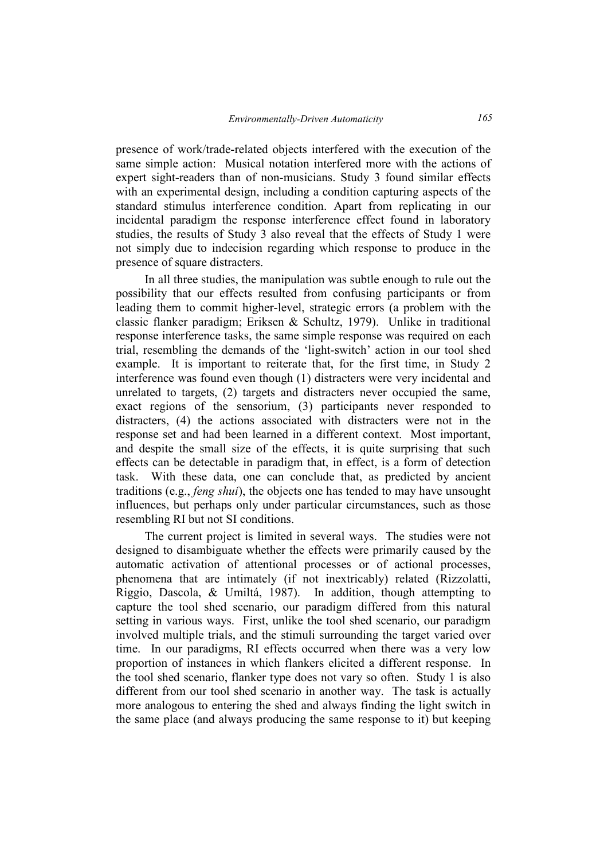presence of work/trade-related objects interfered with the execution of the same simple action: Musical notation interfered more with the actions of expert sight-readers than of non-musicians. Study 3 found similar effects with an experimental design, including a condition capturing aspects of the standard stimulus interference condition. Apart from replicating in our incidental paradigm the response interference effect found in laboratory studies, the results of Study 3 also reveal that the effects of Study 1 were not simply due to indecision regarding which response to produce in the presence of square distracters.

In all three studies, the manipulation was subtle enough to rule out the possibility that our effects resulted from confusing participants or from leading them to commit higher-level, strategic errors (a problem with the classic flanker paradigm; Eriksen & Schultz, 1979). Unlike in traditional response interference tasks, the same simple response was required on each trial, resembling the demands of the 'light-switch' action in our tool shed example. It is important to reiterate that, for the first time, in Study 2 interference was found even though (1) distracters were very incidental and unrelated to targets, (2) targets and distracters never occupied the same, exact regions of the sensorium, (3) participants never responded to distracters, (4) the actions associated with distracters were not in the response set and had been learned in a different context. Most important, and despite the small size of the effects, it is quite surprising that such effects can be detectable in paradigm that, in effect, is a form of detection task. With these data, one can conclude that, as predicted by ancient traditions (e.g., *feng shui*), the objects one has tended to may have unsought influences, but perhaps only under particular circumstances, such as those resembling RI but not SI conditions.

The current project is limited in several ways. The studies were not designed to disambiguate whether the effects were primarily caused by the automatic activation of attentional processes or of actional processes, phenomena that are intimately (if not inextricably) related (Rizzolatti, Riggio, Dascola, & Umiltá, 1987). In addition, though attempting to capture the tool shed scenario, our paradigm differed from this natural setting in various ways. First, unlike the tool shed scenario, our paradigm involved multiple trials, and the stimuli surrounding the target varied over time. In our paradigms, RI effects occurred when there was a very low proportion of instances in which flankers elicited a different response. In the tool shed scenario, flanker type does not vary so often. Study 1 is also different from our tool shed scenario in another way. The task is actually more analogous to entering the shed and always finding the light switch in the same place (and always producing the same response to it) but keeping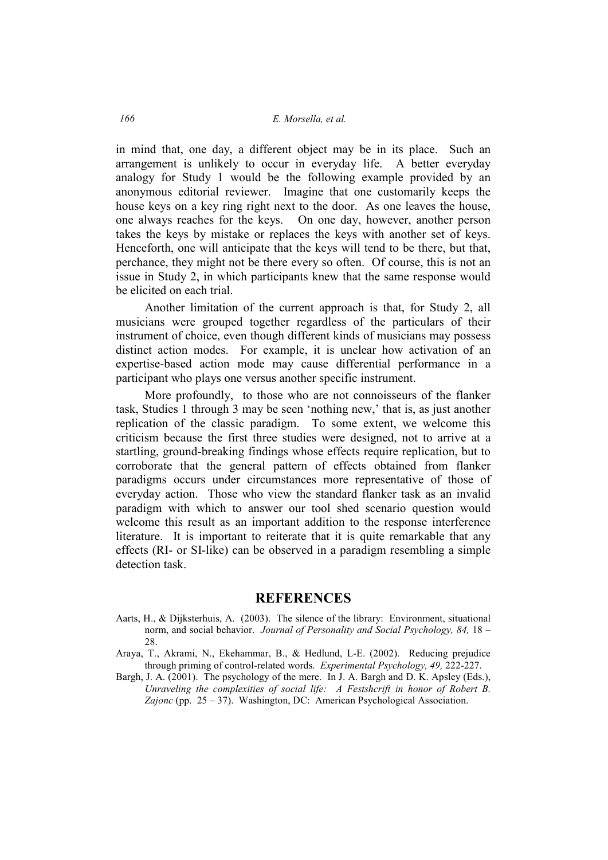in mind that, one day, a different object may be in its place. Such an arrangement is unlikely to occur in everyday life. A better everyday analogy for Study 1 would be the following example provided by an anonymous editorial reviewer. Imagine that one customarily keeps the house keys on a key ring right next to the door. As one leaves the house, one always reaches for the keys. On one day, however, another person takes the keys by mistake or replaces the keys with another set of keys. Henceforth, one will anticipate that the keys will tend to be there, but that, perchance, they might not be there every so often. Of course, this is not an issue in Study 2, in which participants knew that the same response would be elicited on each trial.

Another limitation of the current approach is that, for Study 2, all musicians were grouped together regardless of the particulars of their instrument of choice, even though different kinds of musicians may possess distinct action modes. For example, it is unclear how activation of an expertise-based action mode may cause differential performance in a participant who plays one versus another specific instrument.

More profoundly, to those who are not connoisseurs of the flanker task, Studies 1 through 3 may be seen 'nothing new,' that is, as just another replication of the classic paradigm. To some extent, we welcome this criticism because the first three studies were designed, not to arrive at a startling, ground-breaking findings whose effects require replication, but to corroborate that the general pattern of effects obtained from flanker paradigms occurs under circumstances more representative of those of everyday action. Those who view the standard flanker task as an invalid paradigm with which to answer our tool shed scenario question would welcome this result as an important addition to the response interference literature. It is important to reiterate that it is quite remarkable that any effects (RI- or SI-like) can be observed in a paradigm resembling a simple detection task.

# **REFERENCES**

- Aarts, H., & Dijksterhuis, A. (2003). The silence of the library: Environment, situational norm, and social behavior. *Journal of Personality and Social Psychology, 84,* 18 – 28.
- Araya, T., Akrami, N., Ekehammar, B., & Hedlund, L-E. (2002). Reducing prejudice through priming of control-related words. *Experimental Psychology, 49,* 222-227.
- Bargh, J. A. (2001). The psychology of the mere. In J. A. Bargh and D. K. Apsley (Eds.), *Unraveling the complexities of social life: A Festshcrift in honor of Robert B. Zajonc* (pp. 25 – 37). Washington, DC: American Psychological Association.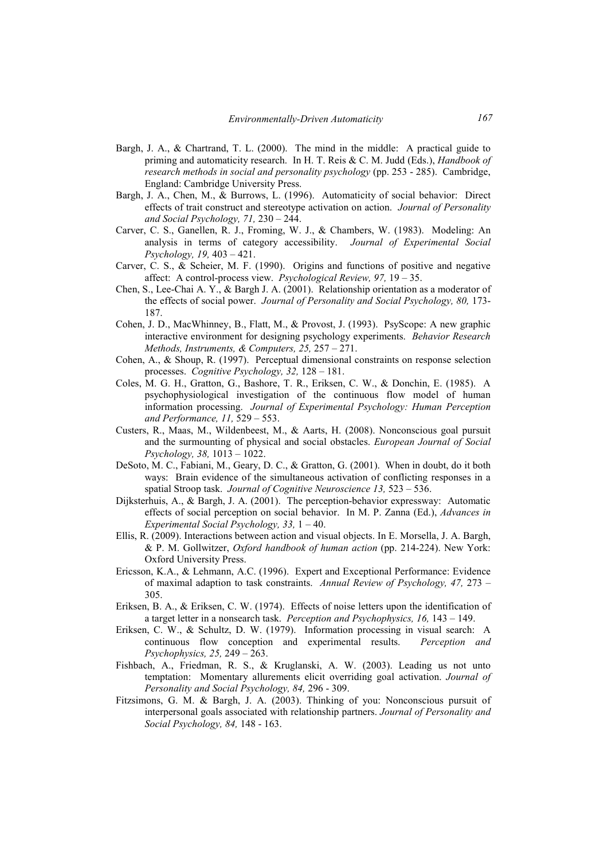- Bargh, J. A., & Chartrand, T. L. (2000). The mind in the middle: A practical guide to priming and automaticity research. In H. T. Reis & C. M. Judd (Eds.), *Handbook of research methods in social and personality psychology* (pp. 253 - 285). Cambridge, England: Cambridge University Press.
- Bargh, J. A., Chen, M., & Burrows, L. (1996). Automaticity of social behavior: Direct effects of trait construct and stereotype activation on action. *Journal of Personality and Social Psychology, 71,* 230 – 244.
- Carver, C. S., Ganellen, R. J., Froming, W. J., & Chambers, W. (1983). Modeling: An analysis in terms of category accessibility. *Journal of Experimental Social Psychology, 19,* 403 – 421.
- Carver, C. S., & Scheier, M. F. (1990). Origins and functions of positive and negative affect: A control-process view. *Psychological Review, 97,* 19 – 35.
- Chen, S., Lee-Chai A. Y., & Bargh J. A. (2001). Relationship orientation as a moderator of the effects of social power. *Journal of Personality and Social Psychology, 80,* 173- 187.
- Cohen, J. D., MacWhinney, B., Flatt, M., & Provost, J. (1993). PsyScope: A new graphic interactive environment for designing psychology experiments. *Behavior Research Methods, Instruments, & Computers, 25,* 257 – 271.
- Cohen, A., & Shoup, R. (1997). Perceptual dimensional constraints on response selection processes. *Cognitive Psychology, 32,* 128 – 181.
- Coles, M. G. H., Gratton, G., Bashore, T. R., Eriksen, C. W., & Donchin, E. (1985). A psychophysiological investigation of the continuous flow model of human information processing. *Journal of Experimental Psychology: Human Perception and Performance, 11,* 529 – 553.
- Custers, R., Maas, M., Wildenbeest, M., & Aarts, H. (2008). Nonconscious goal pursuit and the surmounting of physical and social obstacles. *European Journal of Social Psychology, 38,* 1013 – 1022.
- DeSoto, M. C., Fabiani, M., Geary, D. C., & Gratton, G. (2001). When in doubt, do it both ways: Brain evidence of the simultaneous activation of conflicting responses in a spatial Stroop task. *Journal of Cognitive Neuroscience 13*, 523 – 536.
- Dijksterhuis, A., & Bargh, J. A. (2001). The perception-behavior expressway: Automatic effects of social perception on social behavior. In M. P. Zanna (Ed.), *Advances in Experimental Social Psychology, 33,* 1 – 40.
- Ellis, R. (2009). Interactions between action and visual objects. In E. Morsella, J. A. Bargh, & P. M. Gollwitzer, *Oxford handbook of human action* (pp. 214-224). New York: Oxford University Press.
- Ericsson, K.A., & Lehmann, A.C. (1996). Expert and Exceptional Performance: Evidence of maximal adaption to task constraints. *Annual Review of Psychology, 47,* 273 – 305.
- Eriksen, B. A., & Eriksen, C. W. (1974). Effects of noise letters upon the identification of a target letter in a nonsearch task. *Perception and Psychophysics, 16,* 143 – 149.
- Eriksen, C. W., & Schultz, D. W. (1979). Information processing in visual search: A continuous flow conception and experimental results. *Perception and Psychophysics, 25,* 249 – 263.
- Fishbach, A., Friedman, R. S., & Kruglanski, A. W. (2003). Leading us not unto temptation: Momentary allurements elicit overriding goal activation. *Journal of Personality and Social Psychology, 84,* 296 - 309.
- Fitzsimons, G. M. & Bargh, J. A. (2003). Thinking of you: Nonconscious pursuit of interpersonal goals associated with relationship partners. *Journal of Personality and Social Psychology, 84,* 148 - 163.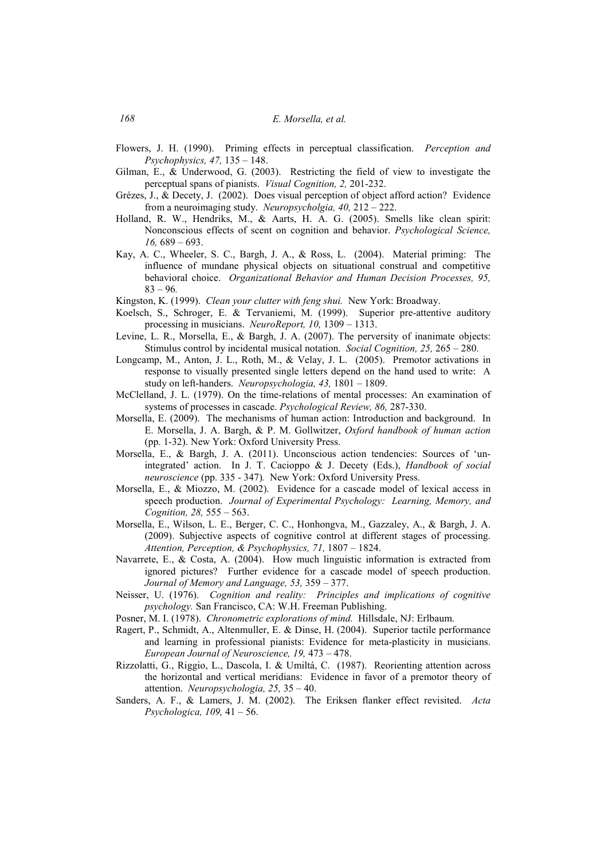- Flowers, J. H. (1990). Priming effects in perceptual classification. *Perception and Psychophysics, 47,* 135 – 148.
- Gilman, E., & Underwood, G. (2003). Restricting the field of view to investigate the perceptual spans of pianists. *Visual Cognition, 2,* 201-232.
- Grézes, J., & Decety, J. (2002). Does visual perception of object afford action? Evidence from a neuroimaging study. *Neuropsycholgia, 40, 212 – 222.*
- Holland, R. W., Hendriks, M., & Aarts, H. A. G. (2005). Smells like clean spirit: Nonconscious effects of scent on cognition and behavior. *Psychological Science, 16,* 689 – 693.
- Kay, A. C., Wheeler, S. C., Bargh, J. A., & Ross, L. (2004). Material priming: The influence of mundane physical objects on situational construal and competitive behavioral choice. *Organizational Behavior and Human Decision Processes, 95,*  83 – 96*.*
- Kingston, K. (1999). *Clean your clutter with feng shui.* New York: Broadway.
- Koelsch, S., Schroger, E. & Tervaniemi, M. (1999). Superior pre-attentive auditory processing in musicians. *NeuroReport, 10,* 1309 – 1313.
- Levine, L. R., Morsella, E., & Bargh, J. A. (2007). The perversity of inanimate objects: Stimulus control by incidental musical notation. *Social Cognition, 25,* 265 – 280.
- Longcamp, M., Anton, J. L., Roth, M., & Velay, J. L. (2005). Premotor activations in response to visually presented single letters depend on the hand used to write: A study on left-handers. *Neuropsychologia*, 43, 1801 – 1809.
- McClelland, J. L. (1979). On the time-relations of mental processes: An examination of systems of processes in cascade. *Psychological Review, 86,* 287-330.
- Morsella, E. (2009). The mechanisms of human action: Introduction and background. In E. Morsella, J. A. Bargh, & P. M. Gollwitzer, *Oxford handbook of human action* (pp. 1-32). New York: Oxford University Press.
- Morsella, E., & Bargh, J. A. (2011). Unconscious action tendencies: Sources of 'unintegrated' action. In J. T. Cacioppo & J. Decety (Eds.), *Handbook of social neuroscience* (pp. 335 - 347)*.* New York: Oxford University Press.
- Morsella, E., & Miozzo, M. (2002). Evidence for a cascade model of lexical access in speech production. *Journal of Experimental Psychology: Learning, Memory, and Cognition, 28,* 555 – 563.
- Morsella, E., Wilson, L. E., Berger, C. C., Honhongva, M., Gazzaley, A., & Bargh, J. A. (2009). Subjective aspects of cognitive control at different stages of processing. *Attention, Perception, & Psychophysics, 71,* 1807 – 1824.
- Navarrete, E., & Costa, A. (2004). How much linguistic information is extracted from ignored pictures? Further evidence for a cascade model of speech production. *Journal of Memory and Language, 53,* 359 – 377.
- Neisser, U. (1976). *Cognition and reality: Principles and implications of cognitive psychology.* San Francisco, CA: W.H. Freeman Publishing.
- Posner, M. I. (1978). *Chronometric explorations of mind.* Hillsdale, NJ: Erlbaum.
- Ragert, P., Schmidt, A., Altenmuller, E. & Dinse, H. (2004). Superior tactile performance and learning in professional pianists: Evidence for meta-plasticity in musicians. *European Journal of Neuroscience, 19, 473 - 478.*
- Rizzolatti, G., Riggio, L., Dascola, I. & Umiltá, C. (1987). Reorienting attention across the horizontal and vertical meridians: Evidence in favor of a premotor theory of attention. *Neuropsychologia*,  $25$ ,  $35 - 40$ .
- Sanders, A. F., & Lamers, J. M. (2002). The Eriksen flanker effect revisited. *Acta Psychologica, 109,* 41 – 56.